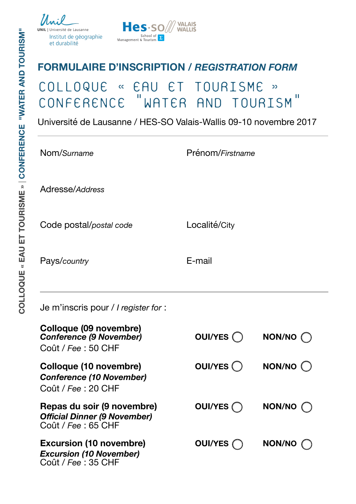ersité de Lausanne Institut de géographie et durabilité



## **FORMULAIRE D'INSCRIPTION /** *REGISTRATION FORM*

## COLLOQUE « EAU ET TOURISME » WATER AND TOURISM"

Université de Lausanne / HES-SO Valais-Wallis 09-10 novembre 2017

| Nom/Surname |  |
|-------------|--|
|-------------|--|

Nom/*Surname* Prénom/*Firstname*

Adresse/*Address*

Code postal/*postal code* Localité/City

Pays/*country* E-mail

Je m'inscris pour / *I register for* :

| <b>Colloque (09 novembre)</b><br><b>Conference (9 November)</b><br>Coût / Fee: 50 CHF   | OUI/YES (  | NON/NO C           |
|-----------------------------------------------------------------------------------------|------------|--------------------|
| Colloque (10 novembre)<br><b>Conference (10 November)</b><br>Coût / Fee: 20 CHF         | OUI/YES () | $NON/NO$ $\bigcap$ |
| Repas du soir (9 novembre)<br><b>Official Dinner (9 November)</b><br>Coût / Fee: 65 CHF | OUI/YES (  | <b>NON/NO</b>      |
| <b>Excursion (10 novembre)</b><br><b>Excursion (10 November)</b><br>Coût / Fee: 35 CHF  | OUI/YES (  | NON/NO             |